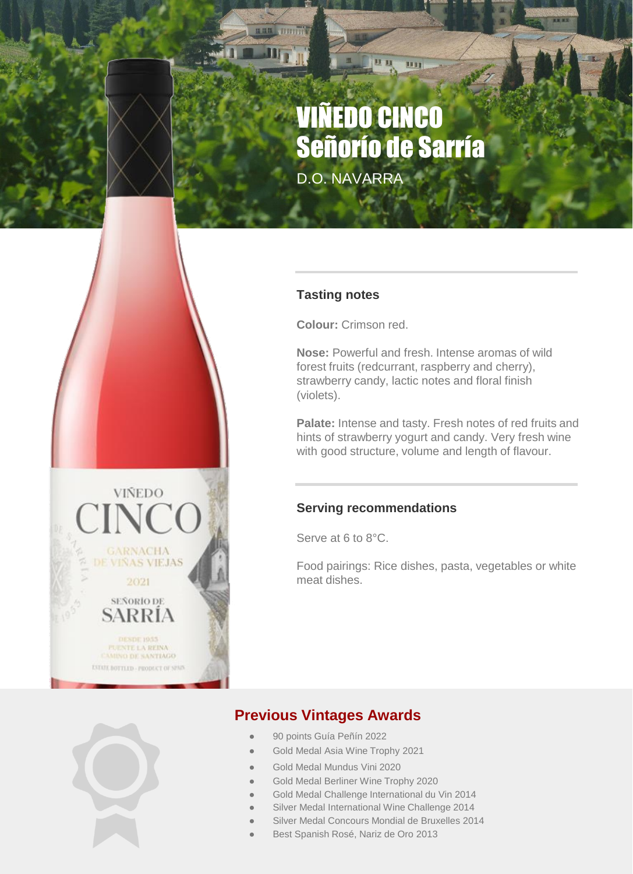# VIÑEDO CINCO Señorío de Sarría

**UB** 

**HILL** 

D.O. NAVARRA

### **Tasting notes**

**Colour:** Crimson red.

**Nose:** Powerful and fresh. Intense aromas of wild forest fruits (redcurrant, raspberry and cherry), strawberry candy, lactic notes and floral finish (violets).

Palate: Intense and tasty. Fresh notes of red fruits and hints of strawberry yogurt and candy. Very fresh wine with good structure, volume and length of flavour.

#### **Serving recommendations**

Serve at 6 to 8°C.

Food pairings: Rice dishes, pasta, vegetables or white meat dishes.

**VIÑEDO** 

**GARNACHA DE VIÑAS VIEJAS** 2021 SEÑORIO DE **SARRÍA** 

**IESDE 1955** PUENTE LA REINA<br>CAMINO DE SANTIAGO **ESTRIE BOTTLED - PRODUCT OF SPAIN** 

## **Previous Vintages Awards**

- 90 points Guía Peñín 2022
- Gold Medal Asia Wine Trophy 2021
- Gold Medal Mundus Vini 2020
- Gold Medal Berliner Wine Trophy 2020
- Gold Medal Challenge International du Vin 2014
- Silver Medal International Wine Challenge 2014
- Silver Medal Concours Mondial de Bruxelles 2014
- Best Spanish Rosé, Nariz de Oro 2013